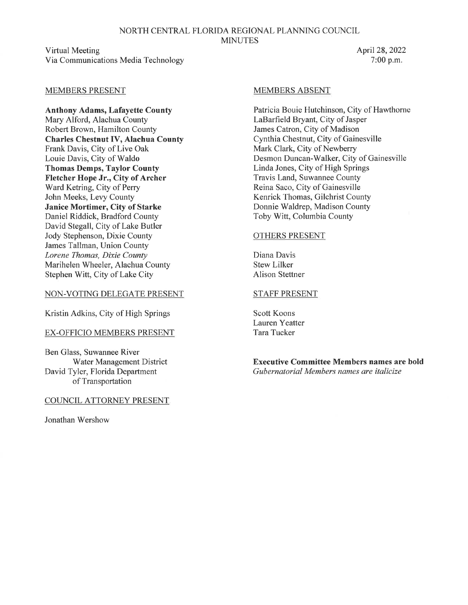#### NORTH CENTRAL FLORIDA REGIONAL PLANNING COUNCIL **MINUTES**

Virtual Meeting Via Communications Media Technology

#### April 28, 2022 7:00 p.m.

#### MEMBERS PRESENT

**Anthony Adams, Lafayette County**  Mary Alford, Alachua County Robert Brown, Hamilton County **Charles Chestnut IV, Alachua County**  Frank Davis, City of Live Oak Louie Davis, City of Waldo **Thomas Demps, Taylor County Fletcher Hope Jr., City of Archer**  Ward Ketring, City of Perry John Meeks, Levy County **Janice Mortimer, City of Starke**  Daniel Riddick, Bradford County David Stegall, City of Lake Butler Jody Stephenson, Dixie County James Tallman, Union County *Lorene Thomas, Dixie County*  Marihelen Wheeler, Alachua County Stephen Witt, City of Lake City

#### NON-VOTING DELEGATE PRESENT

Kristin Adkins, City of High Springs

#### EX-OFFICIO MEMBERS PRESENT

Ben Glass, Suwannee River Water Management District David Tyler, Florida Department of Transportation

#### COUNCIL ATTORNEY PRESENT

Jonathan Wershow

#### MEMBERS ABSENT

Patricia Bouie Hutchinson, City of Hawthorne LaBarfield Bryant, City of Jasper James Catron, City of Madison Cynthia Chestnut, City of Gainesville Mark Clark, City of Newberry Desmon Duncan-Walker, City of Gainesville Linda Jones, City of High Springs Travis Land, Suwannee County Reina Saco, City of Gainesville Kenrick Thomas, Gilchrist County Donnie Waldrep, Madison County Toby Witt, Columbia County

#### OTHERS PRESENT

Diana Davis Stew Lilker Alison Stettner

#### STAFF PRESENT

Scott Koons Lauren Yeatter Tara Tucker

**Executive Committee Members names are bold**  *Gubernatorial Members names are italicize*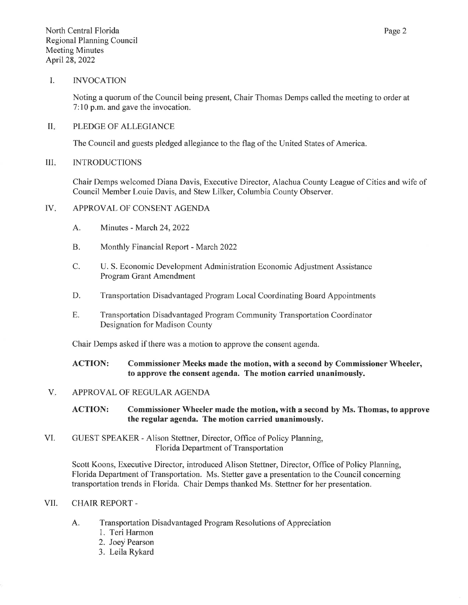#### I. INVOCATION

Noting a quorum of the Council being present, Chair Thomas Demps called the meeting to order at 7: 10 p.m. and gave the invocation.

#### II. PLEDGE OF ALLEGIANCE

The Council and guests pledged allegiance to the flag of the United States of America.

#### III. INTRODUCTIONS

Chair Demps welcomed Diana Davis, Executive Director, Alachua County League of Cities and wife of Council Member Louie Davis, and Stew Lilker, Columbia County Observer.

#### IV. APPROVAL OF CONSENT AGENDA

- A. Minutes March 24, 2022
- B. Monthly Financial Report March 2022
- C. U.S. Economic Development Administration Economic Adjustment Assistance Program Grant Amendment
- D. Transportation Disadvantaged Program Local Coordinating Board Appointments
- E. Transportation Disadvantaged Program Community Transportation Coordinator Designation for Madison County

Chair Demps asked if there was a motion to approve the consent agenda.

#### **ACTION: Commissioner Meeks made the motion, with a second by Commissioner Wheeler, to approve the consent agenda. The motion carried unanimously.**

#### V. APPROVAL OF REGULAR AGENDA

**ACTION: Commissioner Wheeler made the motion, with a second by** Ms. **Thomas, to approve the regular agenda. The motion carried unanimously.** 

VI. GUEST SPEAKER - Alison Stettner, Director, Office of Policy Planning, Florida Department of Transportation

Scott Koons, Executive Director, introduced Alison Stettner, Director, Office of Policy Planning, Florida Department of Transportation. Ms. Stetler gave a presentation to the Council concerning transportation trends in Florida. Chair Demps thanked Ms. Stettner for her presentation.

#### VII. CHAIR REPORT -

- A. Transportation Disadvantaged Program Resolutions of Appreciation
	- 1. Teri Harmon
	- 2. Joey Pearson
	- 3. Leila Rykard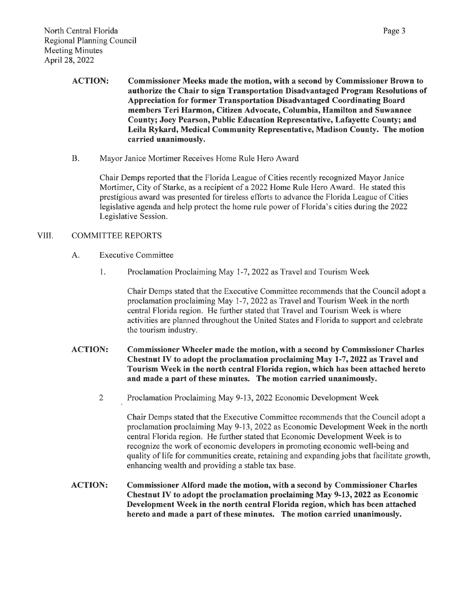- ACTION: Commissioner Meeks made the motion, with a second by Commissioner Brown to authorize the Chair to sign Transportation Disadvantaged Program Resolutions of Appreciation for former Transportation Disadvantaged Coordinating Board members Teri Harmon, Citizen Advocate, Columbia, Hamilton and Suwannee County; Joey Pearson, Public Education Representative, Lafayette County; and Leila Rykard, Medical Community Representative, Madison County. The motion carried unanimously.
- B. Mayor Janice Mortimer Receives Home Rule Hero Award

Chair Demps reported that the Florida League of Cities recently recognized Mayor Janice Mortimer, City of Starke, as a recipient of a 2022 Home Rule Hero Award. He stated this prestigious award was presented for tireless efforts to advance the Florida League of Cities legislative agenda and help protect the home rule power of Florida's cities during the 2022 Legislative Session.

#### VIII. COMMITTEE REPORTS

- A. Executive Committee
	- 1. Proclamation Proclaiming May 1-7, 2022 as Travel and Tourism Week

Chair Demps stated that the Executive Committee recommends that the Council adopt a proclamation proclaiming May 1-7, 2022 as Travel and Tourism Week in the north central Florida region. He further stated that Travel and Tourism Week is where activities are planned throughout the United States and Florida to support and celebrate the tourism industry.

- ACTION: Commissioner Wheeler made the motion, with a second by Commissioner Charles Chestnut IV to adopt the proclamation proclaiming May 1-7, 2022 as Travel and Tourism Week in the north central Florida region, which has been attached hereto and made a part of these minutes. The motion carried unanimously.
	- 2 Proclamation Proclaiming May 9-13, 2022 Economic Development Week

Chair Demps stated that the Executive Committee recommends that the Council adopt a proclamation proclaiming May 9-13, 2022 as Economic Development Week in the north central Florida region. He further stated that Economic Development Week is to recognize the work of economic developers in promoting economic well-being and quality of life for communities create, retaining and expanding jobs that facilitate growth, enhancing wealth and providing a stable tax base.

ACTION: Commissioner Alford made the motion, with a second by Commissioner Charles Chestnut IV to adopt the proclamation proclaiming May 9-13, 2022 as Economic Development Week in the north central Florida region, which has been attached hereto and made a part of these minutes. The motion carried unanimously.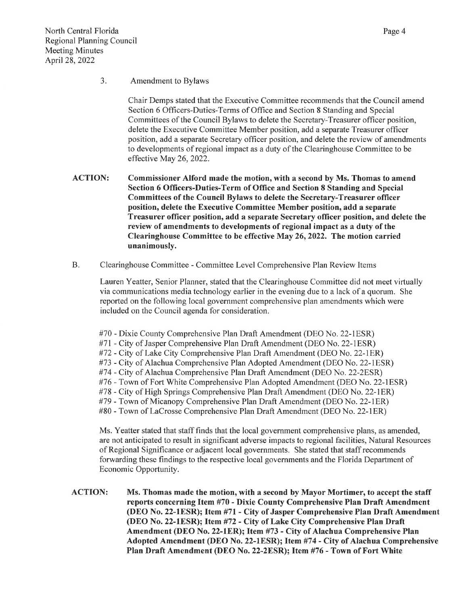Chair Demps stated that the Executive Committee recommends that the Council amend Section 6 Officers-Duties-Terms of Office and Section 8 Standing and Special Committees of the Council Bylaws to delete the Secretary-Treasurer officer position, delete the Executive Committee Member position, add a separate Treasurer officer position, add a separate Secretary officer position, and delete the review of amendments to developments of regional impact as a duty of the Clearinghouse Committee to be effective May 26, 2022.

- ACTION: Commissioner Alford made the motion, with a second by Ms. Thomas to amend Section 6 Officers-Duties-Term of Office and Section 8 Standing and Special Committees of the Council Bylaws to delete the Secretary-Treasurer officer position, delete the Executive Committee Member position, add a separate Treasurer officer position, add a separate Secretary officer position, and delete the review of amendments to developments of regional impact as a duty of the Clearinghouse Committee to be effective May 26, 2022. The motion carried unanimously.
- B. Clearinghouse Committee Committee Level Comprehensive Plan Review Items

Lauren Yeatter, Senior Planner, stated that the Clearinghouse Committee did not meet virtually via communications media technology earlier in the evening due to a lack of a quorum. She reported on the following local government comprehensive plan amendments which were included on the Council agenda for consideration.

#70 - Dixie County Comprehensive Plan Draft Amendment (DEO No. 22-1ESR) #71 - City of Jasper Comprehensive Plan Draft Amendment (DEO No. 22-IESR) #72 - City of Lake City Comprehensive Plan Draft Amendment (DEO No. 22-IER) #73 - City of Alachua Comprehensive Plan Adopted Amendment (DEO No. 22-IESR) #74 - City of Alachua Comprehensive Plan Draft Amendment (DEO No. 22-2ESR) #76 - Town of Fort White Comprehensive Plan Adopted Amendment (DEO No. 22-IESR) #78 - City of High Springs Comprehensive Plan Draft Amendment (DEO No. 22-IER) #79 - Town of Micanopy Comprehensive Plan Draft Amendment (DEO No. 22-IER) #80 - Town of Lacrosse Comprehensive Plan Draft Amendment (DEO No. 22-IER)

Ms. Yeatter stated that staff finds that the local government comprehensive plans, as amended, are not anticipated to result in significant adverse impacts to regional facilities, Natural Resources of Regional Significance or adjacent local governments. She stated that staff recommends forwarding these findings to the respective local governments and the Florida Department of Economic Opportunity.

ACTION: Ms. Thomas made the motion, with a second by Mayor Mortimer, to accept the staff reports concerning Item #70 - Dixie County Comprehensive Plan Draft Amendment (DEO No. 22-lESR); Item #71- City of Jasper Comprehensive Plan Draft Amendment (DEO No. 22-lESR); Item #72 - City of Lake City Comprehensive Plan Draft Amendment (DEO No. 22-lER); Item #73 - City of Alachua Comprehensive Plan Adopted Amendment (DEO No. 22-lESR); Item #74 - City of Alachua Comprehensive Plan Draft Amendment (DEO No. 22-2ESR); Item #76-Town of Fort White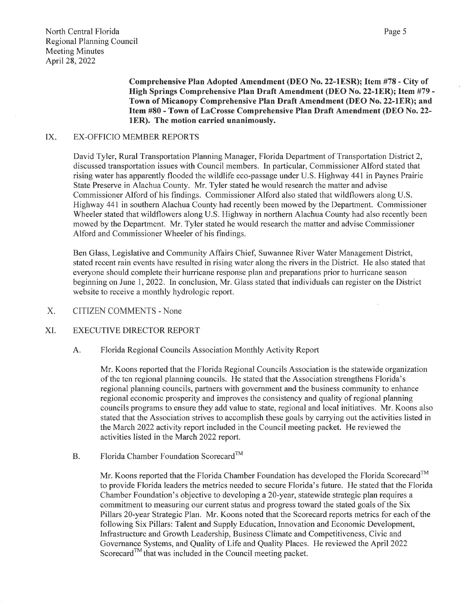**Comprehensive Plan Adopted Amendment (DEO** No. **22-lESR); Item** #78- **City of High Springs Comprehensive Plan Draft Amendment (DEO** No. **22-lER); Item #79** - **Town of Micanopy Comprehensive Plan Draft Amendment (DEO No. 22-lER); and Item #80 - Town ofLaCrosse Comprehensive Plan Draft Amendment (DEO** No. **22 lER). The motion carried unanimously.** 

#### IX. EX-OFFICIO MEMBER REPORTS

David Tyler, Rural Transportation Planning Manager, Florida Department of Transportation District 2, discussed transportation issues with Council members. In particular, Commissioner Alford stated that rising water has apparently flooded the wildlife eco-passage under U.S. Highway 441 in Paynes Prairie State Preserve in Alachua County. Mr. Tyler stated he would research the matter and advise Commissioner Alford of his findings. Commissioner Alford also stated that wildflowers along U.S. Highway 441 in southern Alachua County had recently been mowed by the Department. Commissioner Wheeler stated that wildflowers along U.S. Highway in northern Alachua County had also recently been mowed by the Department. Mr. Tyler stated he would research the matter and advise Commissioner Alford and Commissioner Wheeler of his findings.

Ben Glass, Legislative and Community Affairs Chief, Suwannee River Water Management District, stated recent rain events have resulted in rising water along the rivers in the District. He also stated that everyone should complete their hurricane response plan and preparations prior to hurricane season beginning on June 1, 2022. In conclusion, Mr. Glass stated that individuals can register on the District website to receive a monthly hydrologic report.

X. CITIZEN COMMENTS-None

#### XI. EXECUTIVE DIRECTOR REPORT

#### A. Florida Regional Councils Association Monthly Activity Report

Mr. Koons reported that the Florida Regional Councils Association is the statewide organization of the ten regional planning councils. He stated that the Association strengthens Florida's regional planning councils, partners with government and the business community to enhance regional economic prosperity and improves the consistency and quality of regional planning councils programs to ensure they add value to state, regional and local initiatives. Mr. Koons also stated that the Association strives to accomplish these goals by carrying out the activities listed in the March 2022 activity report included in the Council meeting packet. He reviewed the activities listed in the March 2022 report.

B. Florida Chamber Foundation Scorecard<sup>™</sup>

Mr. Koons reported that the Florida Chamber Foundation has developed the Florida Scorecard™ to provide Florida leaders the metrics needed to secure Florida's future. He stated that the Florida Chamber Foundation's objective to developing a 20-year, statewide strategic plan requires a commitment to measuring our current status and progress toward the stated goals of the Six Pillars 20-year Strategic Plan. Mr. Koons noted that the Scorecard reports metrics for each of the following Six Pillars: Talent and Supply Education, Innovation and Economic Development, Infrastructure and Growth Leadership, Business Climate and Competitiveness, Civic and Governance Systems, and Quality of Life and Quality Places. He reviewed the April 2022 Scorecard<sup>™</sup> that was included in the Council meeting packet.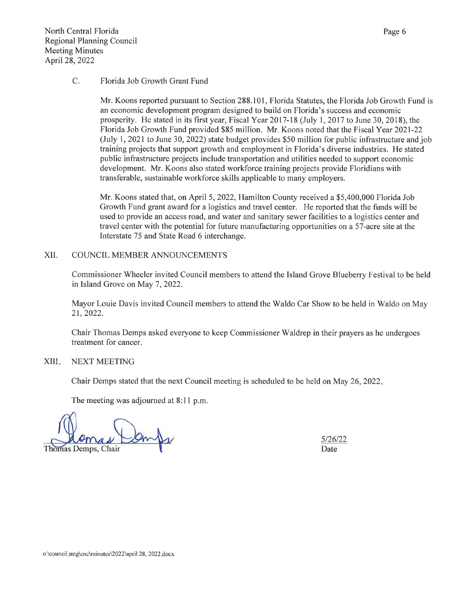#### C. Florida Job Growth Grant Fund

Mr. Koons reported pursuant to Section 288.101, Florida Statutes, the Florida Job Growth Fund is an economic development program designed to build on Florida's success and economic prosperity. He stated in its first year, Fiscal Year 2017-18 (July 1, 2017 to June 30, 2018), the Florida Job Growth Fund provided \$85 million. Mr. Koons noted that the Fiscal Year 2021-22 (July 1, 2021 to June 30, 2022) state budget provides \$50 million for public infrastructure and job training projects that support growth and employment in Florida's diverse industries. He stated public infrastructure projects include transportation and utilities needed to support economic development. Mr. Koons also stated workforce training projects provide Floridians with transferable, sustainable workforce skills applicable to many employers.

Mr. Koons stated that, on April 5, 2022, Hamilton County received a \$5,400,000 Florida Job Growth Fund grant award for a logistics and travel center. He reported that the funds will be used to provide an access road, and water and sanitary sewer facilities to a logistics center and travel center with the potential for future manufacturing opportunities on a 57-acre site at the Interstate 75 and State Road 6 interchange.

#### XII. COUNCIL MEMBER ANNOUNCEMENTS

Commissioner Wheeler invited Council members to attend the Island Grove Blueberry Festival to be held in Island Grove on May 7, 2022.

Mayor Louie Davis invited Council members to attend the Waldo Car Show to be held in Waldo on May 21, 2022.

Chair Thomas Demps asked everyone to keep Commissioner Waldrep in their prayers as he undergoes treatment for cancer.

#### XIII. NEXT MEETING

Chair Demps stated that the next Council meeting is scheduled to be held on May 26, 2022.

The meeting was adjourned at 8:11 p.m.

Thomas Demps, Chair

5126122 Date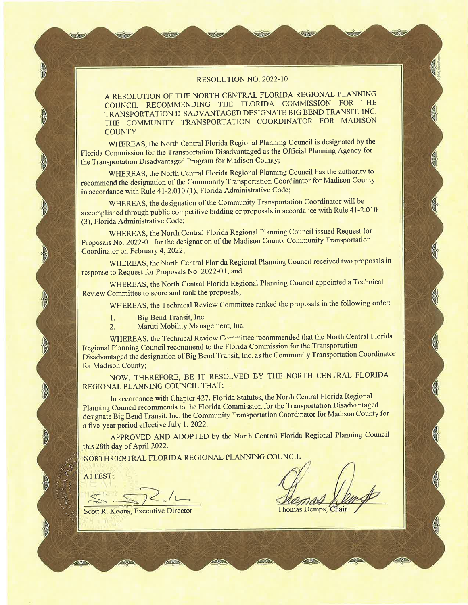#### RESOLUTION NO. 2022-10

A RESOLUTION OF THE NORTH CENTRAL FLORIDA REGIONAL PLANNING COUNCIL RECOMMENDING THE FLORIDA COMMISSION FOR THE TRANSPORTATION DISADVANTAGED DESIGNATE BIG BEND TRANSIT, INC. THE COMMUNITY TRANSPORTATION COORDINATOR FOR MADISON **COUNTY** 

WHEREAS, the North Central Florida Regional Planning Council is designated by the Florida Commission for the Transportation Disadvantaged as the Official Planning Agency for the Transportation Disadvantaged Program for Madison County;

WHEREAS, the North Central Florida Regional Planning Council has the authority to recommend the designation of the Community Transportation Coordinator for Madison County in accordance with Rule 41-2.010 (1), Florida Administrative Code;

WHEREAS, the designation of the Community Transportation Coordinator will be accomplished through public competitive bidding or proposals in accordance with Rule 41-2.010 (3), Florida Administrative Code;

WHEREAS, the North Central Florida Regional Planning Council issued Request for Proposals No. 2022-01 for the designation of the Madison County Community Transportation Coordinator on February 4, 2022;

WHEREAS, the North Central Florida Regional Planning Council received two proposals in response to Request for Proposals No. 2022-01; and

WHEREAS, the North Central Florida Regional Planning Council appointed a Technical Review Committee to score and rank the proposals;

WHEREAS, the Technical Review Committee ranked the proposals in the following order:

- 1. Big Bend Transit, Inc.
- 2. Maruti Mobility Management, Inc.

WHEREAS, the Technical Review Committee recommended that the North Central Florida Regional Planning Council recommend to the Florida Commission for the Transportation Disadvantaged the designation of Big Bend Transit, Inc. as the Community Transportation Coordinator for Madison County;

NOW, THEREFORE, BE IT RESOLVED BY THE NORTH CENTRAL FLORIDA REGIONAL PLANNING COUNCIL THAT:

In accordance with Chapter 427, Florida Statutes, the North Central Florida Regional Planning Council recommends to the Florida Commission for the Transportation Disadvantaged designate Big Bend Transit, Inc. the Community Transportation Coordinator for Madison County for a five-year period effective July 1, 2022.

APPROVED AND ADOPTED by the North Central Florida Regional Planning Council this 28th day of April 2022.

NORtH CENTRAL FLORIDA REGIONAL PLANNING COUNCIL

ATTEST:

--~ *\_:s;;;;z* ~ , *IL-.* 

Scott R. Koons, Executive Director

**Thomas Demps,**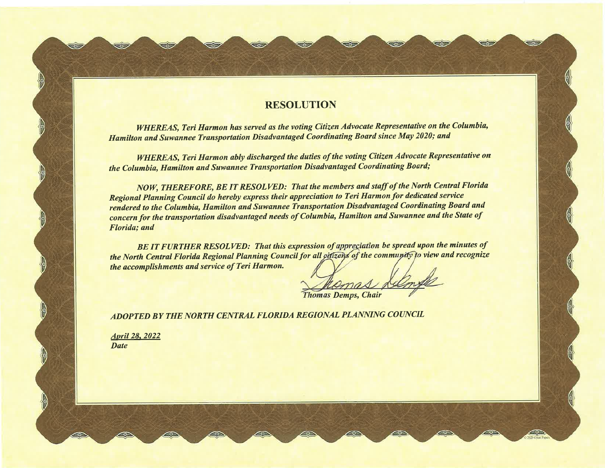## **RESOLUTION**

SOF

ುದಿ

302

ಸಂತ

SOL

*WHEREAS, Teri Harmon has served as the voting Citizen Advocate Representative on the Columbia, Hamilton and Suwannee Transportation Disadvantaged Coordinating Board since May 2020; and* 

*WHEREAS, Teri Harmon ably discharged the duties of the voting Citizen Advocate Representative on the Columbia, Hamilton and Suwannee Transportation Disadvantaged Coordinating Board;* 

*NOW, THEREFORE, BE IT RESOLVED: That the members and staff of the North Central Florida Regional Planning Council do hereby express their appreciation to Teri Harmon for dedicated service rendered to the Columbia, Hamilton and Suwannee Transportation Disadvantaged Coordinating Board and concern for the transportation disadvantaged needs of Columbia, Hamilton and Suwannee and the State of Florida; and* 

*BE IT FURTHER RESOLVED: That this expression of appreciation be spread upon the minutes of the North Central Florida Regional Planning Council for all citizens of the community to view and recognize the accomplishments and service of Teri Harmon.* 

**Thomas Demps, Chair** 

ECP

*ADOPTED BY THE NORTH CENTRAL FLORIDA REGIONAL PLANNING COUNCIL* 

*April 28. 2022 Date* 

SÃD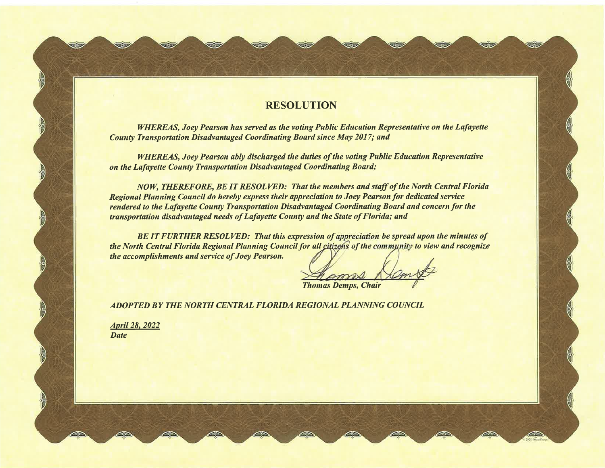## RESOLUTION

*WHEREAS, Joey Pearson has served as the voting Public Education Representative on the Lafayette County Transportation Disadvantaged Coordinating Board since May 2017; and* 

*WHEREAS, Joey Pearson ably discharged the duties of the voting Public Education Representative on the Lafayette County Transportation Disadvantaged Coordinating Board;* 

*NOW, THEREFORE, BE IT RESOLVED: That the members and staff of the North Central Florida Regional Planning Council do hereby express their appreciation to Joey Pearson for dedicated service rendered to the Lafayette County Transportation Disadvantaged Coordinating Board and concern for the transportation disadvantaged needs of Lafayette County and the State of Florida; and* 

*BE IT FURTHER RESOLVED: That this expression of appreciation be spread upon the minutes of the North Central Florida Regional Planning Council for all citizens of the community to view and recognize the accomplishments and service of Joey Pearson.* 

**Thomas Demps, Chair** 

محات

ತಾ

ತಂ

*ADOPTED BY THE NORTH CENTRAL FLORIDA REGIONAL PLANNING COUNCIL* 

*April 28. 2022 Date* 

**STOP**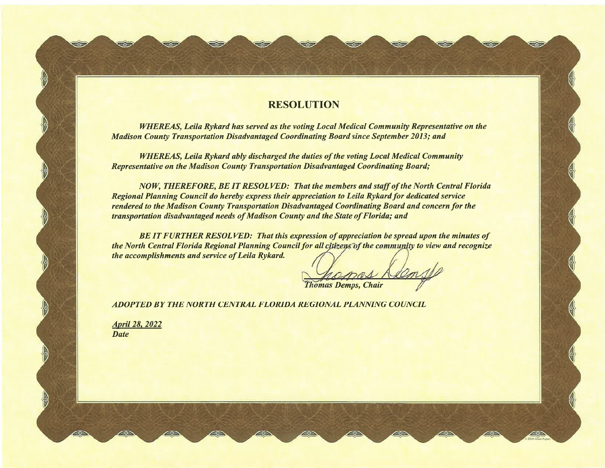### **RESOLUTION**

( ..

 $\epsilon$ 

Selz

*WHEREAS, Leila Rykard has served as the voting Local Medical Community Representative on the Madison County Transportation Disadvantaged Coordinating Board since September 2013; and* 

*WHEREAS, Leila Rykard ably discharged the duties of the voting Local Medical Community Representative on the Madison County Transportation Disadvantaged Coordinating Board;* 

*NOW, THEREFORE, BE IT RESOLVED: That the members and staff of the North Central Florida Regional Planning Council do hereby express their appreciation to Leila Rykard for dedicated service rendered to the Madison County Transportation Disadvantaged Coordinating Board and concern for the transportation disadvantaged needs of Madison County and the State of Florida; and* 

*BE IT FURTHER RESOLVED: That this expression of appreciation be spread upon the minutes of the North Central Florida Regional Planning Council for all citizens of the community to view and recognize the accomplishments and service of Leila Rykard.* 

**Thomas Demps, Chair** 

*ADOPTED BY THE NORTH CENTRAL FLORIDA REGIONAL PLANNING COUNCIL* 

*April 28, 2022 Date* 

**LIGHT**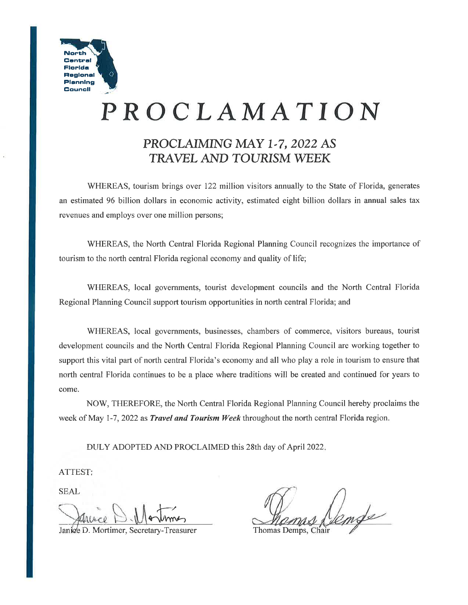

# **PROCLAMATION**

# **PROCLAIMING MAY 1-7, 2022 AS TRAVEL AND TOURISM WEEK**

WHEREAS, tourism brings over 122 million visitors annually to the State of Florida, generates an estimated 96 billion dollars in economic activity, estimated eight billion dollars in annual sales tax revenues and employs over one million persons;

WHEREAS, the North Central Florida Regional Planning Council recognizes the importance of tourism to the north central Florida regional economy and quality of life;

WHEREAS, local governments, tourist development councils and the North Central Florida Regional Planning Council support tourism opportunities in north central Florida; and

WHEREAS, local governments, businesses, chambers of commerce, visitors bureaus, tourist development councils and the North Central Florida Regional Planning Council are working together to support this vital part of north central Florida's economy and all who play a role in tourism to ensure that north central Florida continues to be a place where traditions will be created and continued for years to come.

NOW, THEREFORE, the North Central Florida Regional Planning Council hereby proclaims the week of May 1-7, 2022 as *Travel and Tourism Week* throughout the north central Florida region.

DULY ADOPTED AND PROCLAIMED this 28th day of April 2022.

ATTEST;

SEAL

Janice D. Mortimer, Secretary-Treasurer

mse

Thomas Demps, Chair